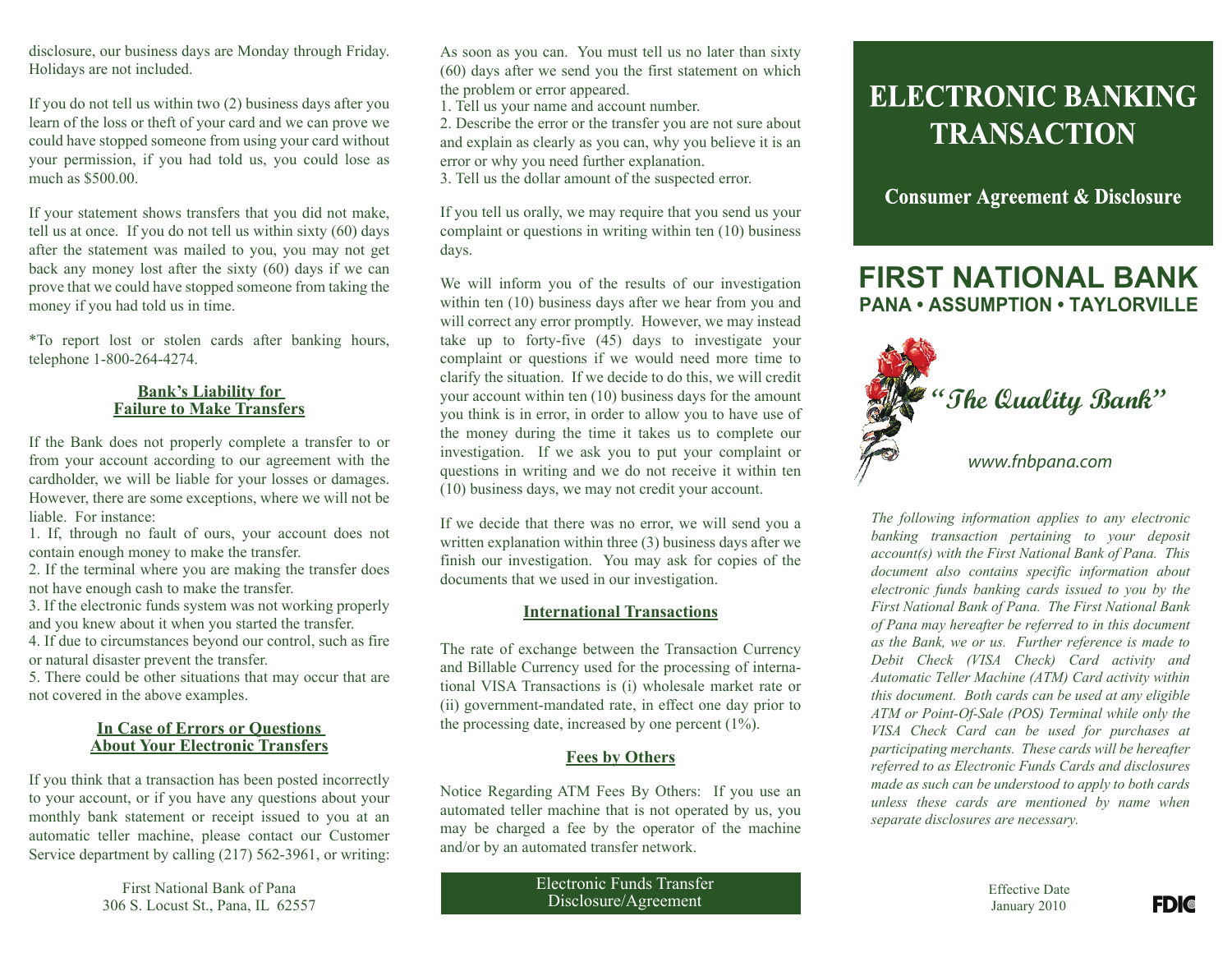disclosure, our business days are Monday through Friday. Holidays are not included.

If you do not tell us within two (2) business days after you learn of the loss or theft of your card and we can prove we could have stopped someone from using your card without your permission, if you had told us, you could lose as much as \$500.00.

If your statement shows transfers that you did not make, tell us at once. If you do not tell us within sixty (60) days after the statement was mailed to you, you may not get back any money lost after the sixty (60) days if we can prove that we could have stopped someone from taking the money if you had told us in time.

\*To report lost or stolen cards after banking hours, telephone 1-800-264-4274.

### **Bank's Liability for Failure to Make Transfers**

If the Bank does not properly complete a transfer to or from your account according to our agreement with the cardholder, we will be liable for your losses or damages. However, there are some exceptions, where we will not be liable. For instance:

1. If, through no fault of ours, your account does not contain enough money to make the transfer.

2. If the terminal where you are making the transfer does not have enough cash to make the transfer.

3. If the electronic funds system was not working properly and you knew about it when you started the transfer.

4. If due to circumstances beyond our control, such as fire or natural disaster prevent the transfer.

5. There could be other situations that may occur that are not covered in the above examples.

### **In Case of Errors or Questions About Your Electronic Transfers**

If you think that a transaction has been posted incorrectly to your account, or if you have any questions about your monthly bank statement or receipt issued to you at an automatic teller machine, please contact our Customer Service department by calling (217) 562-3961, or writing:

> First National Bank of Pana 306 S. Locust St., Pana, IL 62557

As soon as you can. You must tell us no later than sixty (60) days after we send you the first statement on which the problem or error appeared.

1. Tell us your name and account number.

2. Describe the error or the transfer you are not sure about and explain as clearly as you can, why you believe it is an error or why you need further explanation.

3. Tell us the dollar amount of the suspected error.

If you tell us orally, we may require that you send us your complaint or questions in writing within ten (10) business days.

We will inform you of the results of our investigation within ten (10) business days after we hear from you and will correct any error promptly. However, we may instead take up to forty-five (45) days to investigate your complaint or questions if we would need more time to clarify the situation. If we decide to do this, we will credit your account within ten (10) business days for the amount you think is in error, in order to allow you to have use of the money during the time it takes us to complete our investigation. If we ask you to put your complaint or questions in writing and we do not receive it within ten (10) business days, we may not credit your account.

If we decide that there was no error, we will send you a written explanation within three (3) business days after we finish our investigation. You may ask for copies of the documents that we used in our investigation.

### **International Transactions**

The rate of exchange between the Transaction Currency and Billable Currency used for the processing of international VISA Transactions is (i) wholesale market rate or (ii) government-mandated rate, in effect one day prior to the processing date, increased by one percent (1%).

### **Fees by Others**

Notice Regarding ATM Fees By Others: If you use an automated teller machine that is not operated by us, you may be charged a fee by the operator of the machine and/or by an automated transfer network.

> Electronic Funds Transfer Disclosure/Agreement

# **ELECTRONIC BANKING TRANSACTION**

**Consumer Agreement & Disclosure** 

## **FIRST NATIONAL BANK PANA • ASSUMPTION • TAYLORVILLE**



*The following information applies to any electronic banking transaction pertaining to your deposit account(s) with the First National Bank of Pana. This document also contains specific information about electronic funds banking cards issued to you by the First National Bank of Pana. The First National Bank of Pana may hereafter be referred to in this document as the Bank, we or us. Further reference is made to Debit Check (VISA Check) Card activity and Automatic Teller Machine (ATM) Card activity within this document. Both cards can be used at any eligible ATM or Point-Of-Sale (POS) Terminal while only the VISA Check Card can be used for purchases at participating merchants. These cards will be hereafter referred to as Electronic Funds Cards and disclosures made as such can be understood to apply to both cards unless these cards are mentioned by name when separate disclosures are necessary.*